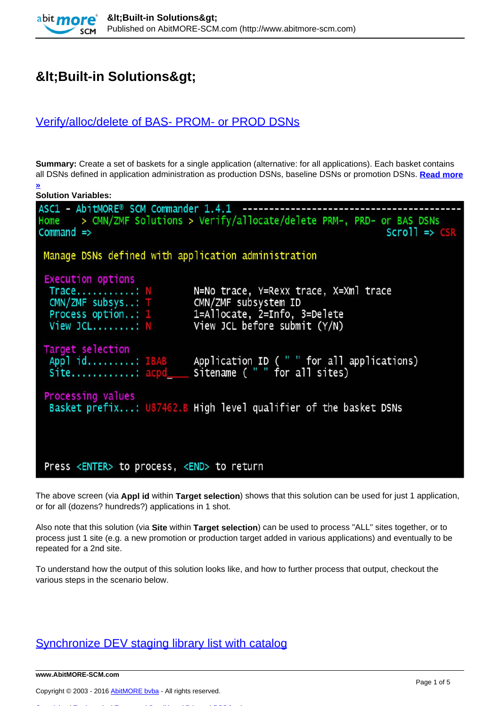# $8$ lt; Built-in Solutions & gt;

**[»](http://www.abitmore-scm.com/products/commander/builtin-solutions/ascz0202)**

## [Verify/alloc/delete of BAS- PROM- or PROD DSNs](http://www.abitmore-scm.com/products/commander/builtin-solutions/ascz0202)

**Summary:** Create a set of baskets for a single application (alternative: for all applications). Each basket contains all DSNs defined in application administration as production DSNs, baseline DSNs or promotion DSNs. **[Read more](http://www.abitmore-scm.com/products/commander/builtin-solutions/ascz0202)**

| <b>Solution Variables:</b>                                                                                                                                                       |                                                                                                      |  |
|----------------------------------------------------------------------------------------------------------------------------------------------------------------------------------|------------------------------------------------------------------------------------------------------|--|
| ASC1 - AbitMORE® SCM Commander 1.4.1 -------<br>$Command \Rightarrow$                                                                                                            | Home > CMN/ZMF Solutions > Verify/allocate/delete PRM-, PRD- or BAS DSNs<br>$Scrol1 \Rightarrow CSR$ |  |
| Manage DSNs defined with application administration                                                                                                                              |                                                                                                      |  |
| <b>Execution options</b><br>Trace: N<br>CMN/ZMF subsys: T CMN/ZMF subsystem ID<br>Process option: 1 1=Allocate, 2=Info, 3=Delete<br>View JCL: $N$ View JCL before submit $(Y/N)$ | N=No trace, Y=Rexx trace, X=Xml trace                                                                |  |
| Target selection<br>Site: acpd_____ Sitename ("" for all sites)                                                                                                                  | Appl id: IBAB Application ID ("" for all applications)                                               |  |
| Processing values                                                                                                                                                                | Basket prefix: U87462.B High level qualifier of the basket DSNs                                      |  |
| Press <enter> to process, <end> to return</end></enter>                                                                                                                          |                                                                                                      |  |

The above screen (via **Appl id** within **Target selection**) shows that this solution can be used for just 1 application, or for all (dozens? hundreds?) applications in 1 shot.

Also note that this solution (via **Site** within **Target selection**) can be used to process "ALL" sites together, or to process just 1 site (e.g. a new promotion or production target added in various applications) and eventually to be repeated for a 2nd site.

To understand how the output of this solution looks like, and how to further process that output, checkout the various steps in the scenario below.

### [Synchronize DEV staging library list with catalog](http://www.abitmore-scm.com/products/commander/builtin-solutions/ascz0103)

**www.AbitMORE-SCM.com**

Copyright © 2003 - 2016 [AbitMORE bvba](http://www.abitmore.be) - All rights reserved.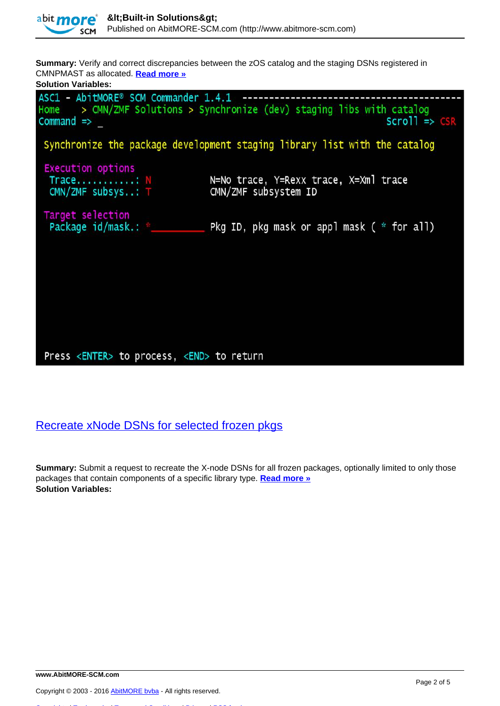

**Summary:** Verify and correct discrepancies between the zOS catalog and the staging DSNs registered in CMNPMAST as allocated. **[Read more »](http://www.abitmore-scm.com/products/commander/builtin-solutions/ascz0103)**

| <b>Solution Variables:</b>                                                       |                                                                                                                  |
|----------------------------------------------------------------------------------|------------------------------------------------------------------------------------------------------------------|
| ASC1 - AbitMORE® SCM Commander 1.4.1 ------------------<br>$command \Rightarrow$ | Home $\rightarrow$ CMN/ZMF Solutions $>$ Synchronize (dev) staging libs with catalog<br>$Scrol1 \Rightarrow CSR$ |
|                                                                                  | Synchronize the package development staging library list with the catalog                                        |
| <b>Execution options</b><br>Trace: N<br>CMN/ZMF subsys: T                        | N=No trace, Y=Rexx trace, X=Xml trace<br>CMN/ZMF subsystem ID                                                    |
| Target selection<br>Package id/mask.: *_______                                   | Pkg ID, pkg mask or appl mask ( $*$ for all)                                                                     |
|                                                                                  |                                                                                                                  |
|                                                                                  |                                                                                                                  |
| Press <enter> to process, <end> to return</end></enter>                          |                                                                                                                  |

# [Recreate xNode DSNs for selected frozen pkgs](http://www.abitmore-scm.com/products/commander/builtin-solutions/ascz0051)

**Summary:** Submit a request to recreate the X-node DSNs for all frozen packages, optionally limited to only those packages that contain components of a specific library type. **[Read more »](http://www.abitmore-scm.com/products/commander/builtin-solutions/ascz0051) Solution Variables:** 

[Copyrights](http://www.abitmore-scm.com/legal/copyrights) | [Trademarks](http://www.abitmore-scm.com/legal/trademarks) | [Terms and Conditions](http://www.abitmore-scm.com/legal/terms) | [Privacy](http://www.abitmore-scm.com/legal/privacy) | [RSS feeds](http://www.abitmore-scm.com/rss.xml)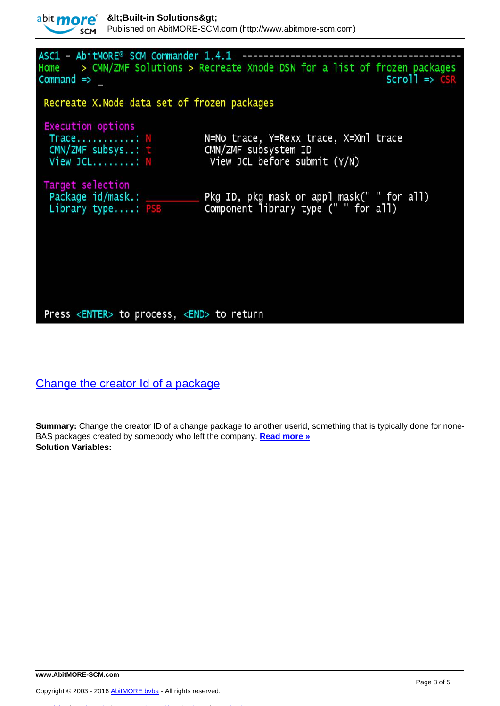

| ASC1 - AbitMORE® SCM Commander 1.4.1<br>Home<br>$Command \Rightarrow$    | > CMN/ZMF Solutions > Recreate Xnode DSN for a list of frozen packages<br>$Scrol1 \Rightarrow CSR$ |
|--------------------------------------------------------------------------|----------------------------------------------------------------------------------------------------|
| Recreate X. Node data set of frozen packages                             |                                                                                                    |
| <b>Execution options</b><br>Trace: N<br>CMN/ZMF subsys: t<br>View JCL: N | N=No trace, Y=Rexx trace, X=Xml trace<br>CMN/ZMF subsystem ID<br>View JCL before submit (Y/N)      |
| Target selection<br>Package id/mask.: __________<br>Library type: PSB    | Pkg ID, pkg mask or appl mask(" " for all)<br>Component library type (" " for all)                 |

#### Press <ENTER> to process, <END> to return

# [Change the creator Id of a package](http://www.abitmore-scm.com/products/commander/builtin-solutions/ascz0011)

**Summary:** Change the creator ID of a change package to another userid, something that is typically done for none-BAS packages created by somebody who left the company. **[Read more »](http://www.abitmore-scm.com/products/commander/builtin-solutions/ascz0011) Solution Variables:** 

[Copyrights](http://www.abitmore-scm.com/legal/copyrights) | [Trademarks](http://www.abitmore-scm.com/legal/trademarks) | [Terms and Conditions](http://www.abitmore-scm.com/legal/terms) | [Privacy](http://www.abitmore-scm.com/legal/privacy) | [RSS feeds](http://www.abitmore-scm.com/rss.xml)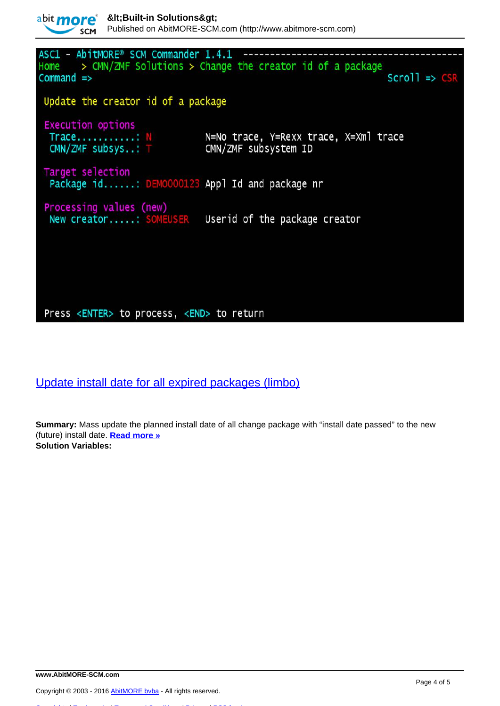

Press <ENTER> to process, <END> to return

[Update install date for all expired packages \(limbo\)](http://www.abitmore-scm.com/products/commander/builtin-solutions/ascz0301)

**Summary:** Mass update the planned install date of all change package with "install date passed" to the new (future) install date. **[Read more »](http://www.abitmore-scm.com/products/commander/builtin-solutions/ascz0301) Solution Variables:** 

[Copyrights](http://www.abitmore-scm.com/legal/copyrights) | [Trademarks](http://www.abitmore-scm.com/legal/trademarks) | [Terms and Conditions](http://www.abitmore-scm.com/legal/terms) | [Privacy](http://www.abitmore-scm.com/legal/privacy) | [RSS feeds](http://www.abitmore-scm.com/rss.xml)